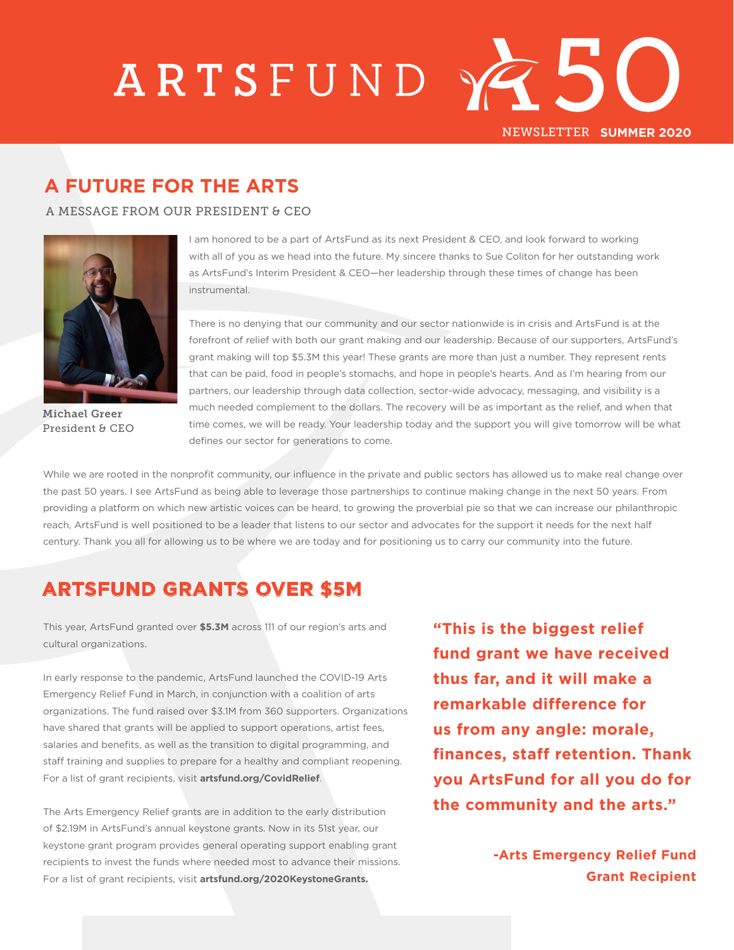## ARTSFUND XZ5 NEWSLETTER **SUMMER 2020**

## **A FUTURE FOR THE ARTS**

A MESSAGE FROM OUR PRESIDENT & CEO



Michael Greer President & CEO

I am honored to be a part of ArtsFund as its next President & CEO, and look forward to working with all of you as we head into the future. My sincere thanks to Sue Coliton for her outstanding work as ArtsFund's Interim President & CEO—her leadership through these times of change has been instrumental.

There is no denying that our community and our sector nationwide is in crisis and ArtsFund is at the forefront of relief with both our grant making and our leadership. Because of our supporters, ArtsFund's grant making will top \$5.3M this year! These grants are more than just a number. They represent rents that can be paid, food in people's stomachs, and hope in people's hearts. And as I'm hearing from our partners, our leadership through data collection, sector-wide advocacy, messaging, and visibility is a much needed complement to the dollars. The recovery will be as important as the relief, and when that time comes, we will be ready. Your leadership today and the support you will give tomorrow will be what defines our sector for generations to come.

While we are rooted in the nonprofit community, our influence in the private and public sectors has allowed us to make real change over the past 50 years. I see ArtsFund as being able to leverage those partnerships to continue making change in the next 50 years. From providing a platform on which new artistic voices can be heard, to growing the proverbial pie so that we can increase our philanthropic reach, ArtsFund is well positioned to be a leader that listens to our sector and advocates for the support it needs for the next half century. Thank you all for allowing us to be where we are today and for positioning us to carry our community into the future.

## **ARTSFUND GRANTS OVER \$5M**

This year, ArtsFund granted over **\$5.3M** across 111 of our region's arts and cultural organizations.

In early response to the pandemic, ArtsFund launched the COVID-19 Arts Emergency Relief Fund in March, in conjunction with a coalition of arts organizations. The fund raised over \$3.1M from 360 supporters. Organizations have shared that grants will be applied to support operations, artist fees, salaries and benefits, as well as the transition to digital programming, and staff training and supplies to prepare for a healthy and compliant reopening. For a list of grant recipients, visit **artsfund.org/CovidRelief**.

The Arts Emergency Relief grants are in addition to the early distribution of \$2.19M in ArtsFund's annual keystone grants. Now in its 51st year, our keystone grant program provides general operating support enabling grant recipients to invest the funds where needed most to advance their missions. For a list of grant recipients, visit **artsfund.org/2020KeystoneGrants.** 

**"This is the biggest relief fund grant we have received thus far, and it will make a remarkable difference for us from any angle: morale, finances, staff retention. Thank you ArtsFund for all you do for the community and the arts."** 

> **-Arts Emergency Relief Fund Grant Recipient**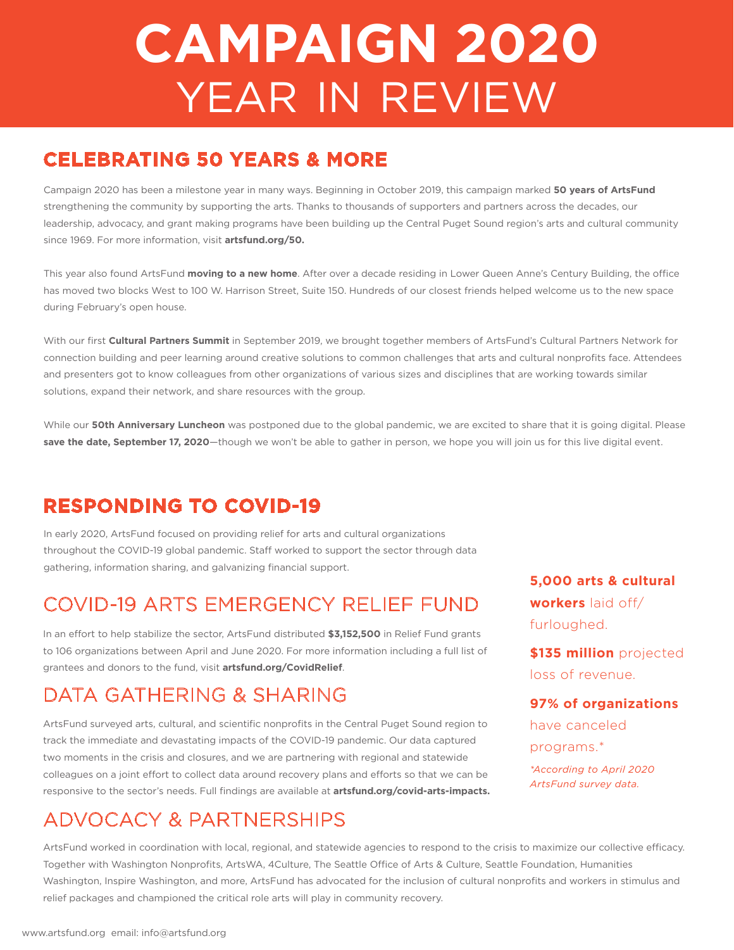# **CAMPAIGN 2020** YEAR IN REVIEW

## **CELEBRATING 50 YEARS & MORE**

Campaign 2020 has been a milestone year in many ways. Beginning in October 2019, this campaign marked **50 years of ArtsFund**  strengthening the community by supporting the arts. Thanks to thousands of supporters and partners across the decades, our leadership, advocacy, and grant making programs have been building up the Central Puget Sound region's arts and cultural community since 1969. For more information, visit **artsfund.org/50.**

This year also found ArtsFund **moving to a new home**. After over a decade residing in Lower Queen Anne's Century Building, the office has moved two blocks West to 100 W. Harrison Street, Suite 150. Hundreds of our closest friends helped welcome us to the new space during February's open house.

With our first **Cultural Partners Summit** in September 2019, we brought together members of ArtsFund's Cultural Partners Network for connection building and peer learning around creative solutions to common challenges that arts and cultural nonprofits face. Attendees and presenters got to know colleagues from other organizations of various sizes and disciplines that are working towards similar solutions, expand their network, and share resources with the group.

While our **50th Anniversary Luncheon** was postponed due to the global pandemic, we are excited to share that it is going digital. Please **save the date, September 17, 2020**—though we won't be able to gather in person, we hope you will join us for this live digital event.

## **RESPONDING TO COVID-19**

In early 2020, ArtsFund focused on providing relief for arts and cultural organizations throughout the COVID-19 global pandemic. Staff worked to support the sector through data gathering, information sharing, and galvanizing financial support.

## COVID-19 ARTS EMERGENCY RELIEF FUND

In an effort to help stabilize the sector, ArtsFund distributed **\$3,152,500** in Relief Fund grants to 106 organizations between April and June 2020. For more information including a full list of grantees and donors to the fund, visit **artsfund.org/CovidRelief**.

## DATA GATHERING & SHARING

ArtsFund surveyed arts, cultural, and scientific nonprofits in the Central Puget Sound region to track the immediate and devastating impacts of the COVID-19 pandemic. Our data captured two moments in the crisis and closures, and we are partnering with regional and statewide colleagues on a joint effort to collect data around recovery plans and efforts so that we can be responsive to the sector's needs. Full findings are available at **artsfund.org/covid-arts-impacts.**

## ADVOCACY & PARTNERSHIPS

**5,000 arts & cultural workers** laid off/ furloughed.

**\$135 million** projected loss of revenue.

#### **97% of organizations**

have canceled programs.\*

*\*According to April 2020 ArtsFund survey data.*

ArtsFund worked in coordination with local, regional, and statewide agencies to respond to the crisis to maximize our collective efficacy. Together with Washington Nonprofits, ArtsWA, 4Culture, The Seattle Office of Arts & Culture, Seattle Foundation, Humanities Washington, Inspire Washington, and more, ArtsFund has advocated for the inclusion of cultural nonprofits and workers in stimulus and relief packages and championed the critical role arts will play in community recovery.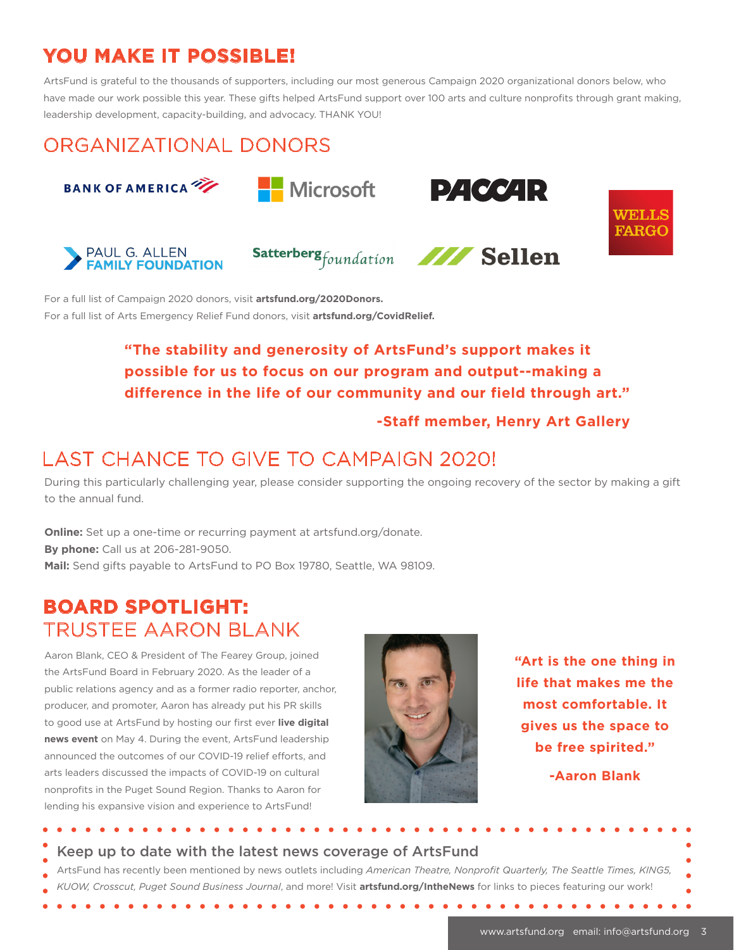## **YOU MAKE IT POSSIBLE!**

ArtsFund is grateful to the thousands of supporters, including our most generous Campaign 2020 organizational donors below, who have made our work possible this year. These gifts helped ArtsFund support over 100 arts and culture nonprofits through grant making, leadership development, capacity-building, and advocacy. THANK YOU!

## ORGANIZATIONAL DONORS











**PACCAR** 



For a full list of Campaign 2020 donors, visit **artsfund.org/2020Donors.** For a full list of Arts Emergency Relief Fund donors, visit **artsfund.org/CovidRelief.**

### **"The stability and generosity of ArtsFund's support makes it possible for us to focus on our program and output--making a difference in the life of our community and our field through art."**

#### **-Staff member, Henry Art Gallery**

## LAST CHANCE TO GIVE TO CAMPAIGN 2020!

During this particularly challenging year, please consider supporting the ongoing recovery of the sector by making a gift to the annual fund.

**Online:** Set up a one-time or recurring payment at artsfund.org/donate. **By phone:** Call us at 206-281-9050. **Mail:** Send gifts payable to ArtsFund to PO Box 19780, Seattle, WA 98109.

### **BOARD SPOTLIGHT:** TRUSTEE AARON BLANK

Aaron Blank, CEO & President of The Fearey Group, joined the ArtsFund Board in February 2020. As the leader of a public relations agency and as a former radio reporter, anchor, producer, and promoter, Aaron has already put his PR skills to good use at ArtsFund by hosting our first ever **live digital news event** on May 4. During the event, ArtsFund leadership announced the outcomes of our COVID-19 relief efforts, and arts leaders discussed the impacts of COVID-19 on cultural nonprofits in the Puget Sound Region. Thanks to Aaron for lending his expansive vision and experience to ArtsFund!

. . . . . . . . . . . . . . . . . .



**"Art is the one thing in life that makes me the most comfortable. It gives us the space to be free spirited."**

**-Aaron Blank**

#### Keep up to date with the latest news coverage of ArtsFund

 $\bullet$ 

ArtsFund has recently been mentioned by news outlets including *American Theatre, Nonprofit Quarterly, The Seattle Times, KING5, KUOW, Crosscut, Puget Sound Business Journal*, and more! Visit **artsfund.org/IntheNews** for links to pieces featuring our work!

 $\mathbf{a} \cdot \mathbf{a} \cdot \mathbf{a} \cdot \mathbf{a} \cdot \mathbf{a}$